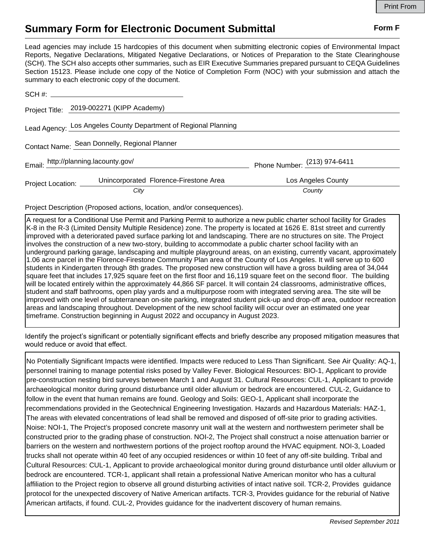## **Summary Form for Electronic Document Submittal Form F Form F**

Lead agencies may include 15 hardcopies of this document when submitting electronic copies of Environmental Impact Reports, Negative Declarations, Mitigated Negative Declarations, or Notices of Preparation to the State Clearinghouse (SCH). The SCH also accepts other summaries, such as EIR Executive Summaries prepared pursuant to CEQA Guidelines Section 15123. Please include one copy of the Notice of Completion Form (NOC) with your submission and attach the summary to each electronic copy of the document.

| SCH #:            |                                                                 |                              |  |
|-------------------|-----------------------------------------------------------------|------------------------------|--|
|                   | Project Title: 2019-002271 (KIPP Academy)                       |                              |  |
|                   | Lead Agency: Los Angeles County Department of Regional Planning |                              |  |
|                   | Contact Name: Sean Donnelly, Regional Planner                   |                              |  |
|                   | Email: http://planning.lacounty.gov/                            | Phone Number: (213) 974-6411 |  |
| Project Location: | Unincorporated Florence-Firestone Area                          | Los Angeles County           |  |
|                   | City                                                            | County                       |  |

Project Description (Proposed actions, location, and/or consequences).

A request for a Conditional Use Permit and Parking Permit to authorize a new public charter school facility for Grades K-8 in the R-3 (Limited Density Multiple Residence) zone. The property is located at 1626 E. 81st street and currently improved with a deteriorated paved surface parking lot and landscaping. There are no structures on site. The Project involves the construction of a new two-story, building to accommodate a public charter school facility with an underground parking garage, landscaping and multiple playground areas, on an existing, currently vacant, approximately 1.06 acre parcel in the Florence-Firestone Community Plan area of the County of Los Angeles. It will serve up to 600 students in Kindergarten through 8th grades. The proposed new construction will have a gross building area of 34,044 square feet that includes 17,925 square feet on the first floor and 16,119 square feet on the second floor. The building will be located entirely within the approximately 44,866 SF parcel. It will contain 24 classrooms, administrative offices, student and staff bathrooms, open play yards and a multipurpose room with integrated serving area. The site will be improved with one level of subterranean on-site parking, integrated student pick-up and drop-off area, outdoor recreation areas and landscaping throughout. Development of the new school facility will occur over an estimated one year timeframe. Construction beginning in August 2022 and occupancy in August 2023.

Identify the project's significant or potentially significant effects and briefly describe any proposed mitigation measures that would reduce or avoid that effect.

No Potentially Significant Impacts were identified. Impacts were reduced to Less Than Significant. See Air Quality: AQ-1, personnel training to manage potential risks posed by Valley Fever. Biological Resources: BIO-1, Applicant to provide pre-construction nesting bird surveys between March 1 and August 31. Cultural Resources: CUL-1, Applicant to provide archaeological monitor during ground disturbance until older alluvium or bedrock are encountered. CUL-2, Guidance to follow in the event that human remains are found. Geology and Soils: GEO-1, Applicant shall incorporate the recommendations provided in the Geotechnical Engineering Investigation. Hazards and Hazardous Materials: HAZ-1, The areas with elevated concentrations of lead shall be removed and disposed of off-site prior to grading activities. Noise: NOI-1, The Project's proposed concrete masonry unit wall at the western and northwestern perimeter shall be constructed prior to the grading phase of construction. NOI-2, The Project shall construct a noise attenuation barrier or barriers on the western and northwestern portions of the project rooftop around the HVAC equipment. NOI-3, Loaded trucks shall not operate within 40 feet of any occupied residences or within 10 feet of any off-site building. Tribal and Cultural Resources: CUL-1, Applicant to provide archaeological monitor during ground disturbance until older alluvium or bedrock are encountered. TCR-1, applicant shall retain a professional Native American monitor who has a cultural affiliation to the Project region to observe all ground disturbing activities of intact native soil. TCR-2, Provides guidance protocol for the unexpected discovery of Native American artifacts. TCR-3, Provides guidance for the reburial of Native American artifacts, if found. CUL-2, Provides guidance for the inadvertent discovery of human remains.